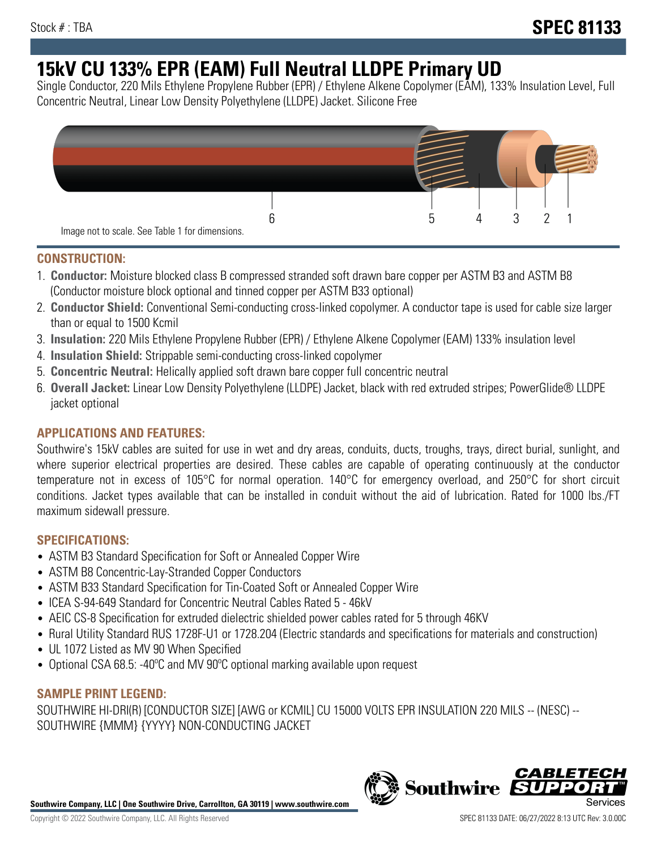# **15kV CU 133% EPR (EAM) Full Neutral LLDPE Primary UD**

Single Conductor, 220 Mils Ethylene Propylene Rubber (EPR) / Ethylene Alkene Copolymer (EAM), 133% Insulation Level, Full Concentric Neutral, Linear Low Density Polyethylene (LLDPE) Jacket. Silicone Free



## **CONSTRUCTION:**

- 1. **Conductor:** Moisture blocked class B compressed stranded soft drawn bare copper per ASTM B3 and ASTM B8 (Conductor moisture block optional and tinned copper per ASTM B33 optional)
- 2. **Conductor Shield:** Conventional Semi-conducting cross-linked copolymer. A conductor tape is used for cable size larger than or equal to 1500 Kcmil
- 3. **Insulation:** 220 Mils Ethylene Propylene Rubber (EPR) / Ethylene Alkene Copolymer (EAM) 133% insulation level
- 4. **Insulation Shield:** Strippable semi-conducting cross-linked copolymer
- 5. **Concentric Neutral:** Helically applied soft drawn bare copper full concentric neutral
- 6. **Overall Jacket:** Linear Low Density Polyethylene (LLDPE) Jacket, black with red extruded stripes; PowerGlide® LLDPE jacket optional

## **APPLICATIONS AND FEATURES:**

Southwire's 15kV cables are suited for use in wet and dry areas, conduits, ducts, troughs, trays, direct burial, sunlight, and where superior electrical properties are desired. These cables are capable of operating continuously at the conductor temperature not in excess of 105°C for normal operation. 140°C for emergency overload, and 250°C for short circuit conditions. Jacket types available that can be installed in conduit without the aid of lubrication. Rated for 1000 lbs./FT maximum sidewall pressure.

## **SPECIFICATIONS:**

- ASTM B3 Standard Specification for Soft or Annealed Copper Wire
- ASTM B8 Concentric-Lay-Stranded Copper Conductors
- ASTM B33 Standard Specification for Tin-Coated Soft or Annealed Copper Wire
- ICEA S-94-649 Standard for Concentric Neutral Cables Rated 5 46kV
- AEIC CS-8 Specification for extruded dielectric shielded power cables rated for 5 through 46KV
- Rural Utility Standard RUS 1728F-U1 or 1728.204 (Electric standards and specifications for materials and construction)
- UL 1072 Listed as MV 90 When Specified
- Optional CSA 68.5: -40ºC and MV 90ºC optional marking available upon request

# **SAMPLE PRINT LEGEND:**

SOUTHWIRE HI-DRI(R) [CONDUCTOR SIZE] [AWG or KCMIL] CU 15000 VOLTS EPR INSULATION 220 MILS -- (NESC) -- SOUTHWIRE {MMM} {YYYY} NON-CONDUCTING JACKET

**Southwire Company, LLC | One Southwire Drive, Carrollton, GA 30119 | www.southwire.com**